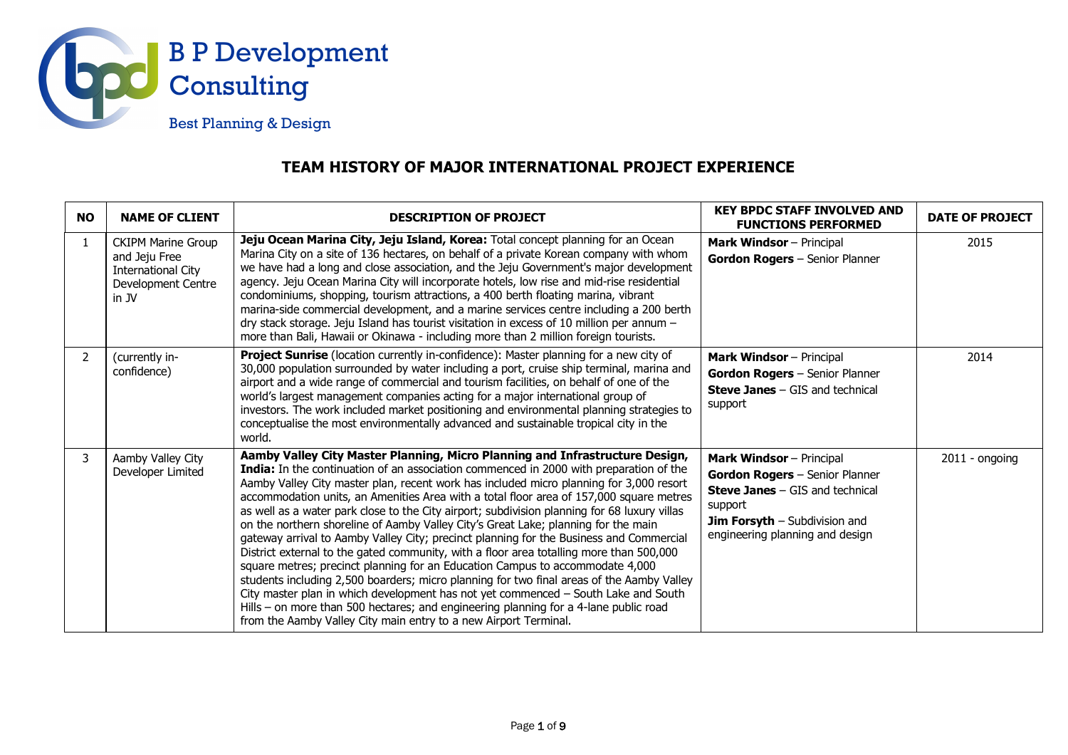

## **TEAM HISTORY OF MAJOR INTERNATIONAL PROJECT EXPERIENCE**

| <b>NO</b>      | <b>NAME OF CLIENT</b>                                                                                  | <b>DESCRIPTION OF PROJECT</b>                                                                                                                                                                                                                                                                                                                                                                                                                                                                                                                                                                                                                                                                                                                                                                                                                                                                                                                                                                                                                                                                                                                                            | <b>KEY BPDC STAFF INVOLVED AND</b><br><b>FUNCTIONS PERFORMED</b>                                                                                                                                  | <b>DATE OF PROJECT</b> |
|----------------|--------------------------------------------------------------------------------------------------------|--------------------------------------------------------------------------------------------------------------------------------------------------------------------------------------------------------------------------------------------------------------------------------------------------------------------------------------------------------------------------------------------------------------------------------------------------------------------------------------------------------------------------------------------------------------------------------------------------------------------------------------------------------------------------------------------------------------------------------------------------------------------------------------------------------------------------------------------------------------------------------------------------------------------------------------------------------------------------------------------------------------------------------------------------------------------------------------------------------------------------------------------------------------------------|---------------------------------------------------------------------------------------------------------------------------------------------------------------------------------------------------|------------------------|
| 1              | <b>CKIPM Marine Group</b><br>and Jeju Free<br><b>International City</b><br>Development Centre<br>in JV | Jeju Ocean Marina City, Jeju Island, Korea: Total concept planning for an Ocean<br>Marina City on a site of 136 hectares, on behalf of a private Korean company with whom<br>we have had a long and close association, and the Jeju Government's major development<br>agency. Jeju Ocean Marina City will incorporate hotels, low rise and mid-rise residential<br>condominiums, shopping, tourism attractions, a 400 berth floating marina, vibrant<br>marina-side commercial development, and a marine services centre including a 200 berth<br>dry stack storage. Jeju Island has tourist visitation in excess of 10 million per annum -<br>more than Bali, Hawaii or Okinawa - including more than 2 million foreign tourists.                                                                                                                                                                                                                                                                                                                                                                                                                                       | <b>Mark Windsor</b> - Principal<br>Gordon Rogers - Senior Planner                                                                                                                                 | 2015                   |
| $\overline{2}$ | (currently in-<br>confidence)                                                                          | <b>Project Sunrise</b> (location currently in-confidence): Master planning for a new city of<br>30,000 population surrounded by water including a port, cruise ship terminal, marina and<br>airport and a wide range of commercial and tourism facilities, on behalf of one of the<br>world's largest management companies acting for a major international group of<br>investors. The work included market positioning and environmental planning strategies to<br>conceptualise the most environmentally advanced and sustainable tropical city in the<br>world.                                                                                                                                                                                                                                                                                                                                                                                                                                                                                                                                                                                                       | <b>Mark Windsor</b> - Principal<br>Gordon Rogers - Senior Planner<br><b>Steve Janes - GIS and technical</b><br>support                                                                            | 2014                   |
| 3              | Aamby Valley City<br>Developer Limited                                                                 | Aamby Valley City Master Planning, Micro Planning and Infrastructure Design,<br>India: In the continuation of an association commenced in 2000 with preparation of the<br>Aamby Valley City master plan, recent work has included micro planning for 3,000 resort<br>accommodation units, an Amenities Area with a total floor area of 157,000 square metres<br>as well as a water park close to the City airport; subdivision planning for 68 luxury villas<br>on the northern shoreline of Aamby Valley City's Great Lake; planning for the main<br>gateway arrival to Aamby Valley City; precinct planning for the Business and Commercial<br>District external to the gated community, with a floor area totalling more than 500,000<br>square metres; precinct planning for an Education Campus to accommodate 4,000<br>students including 2,500 boarders; micro planning for two final areas of the Aamby Valley<br>City master plan in which development has not yet commenced - South Lake and South<br>Hills - on more than 500 hectares; and engineering planning for a 4-lane public road<br>from the Aamby Valley City main entry to a new Airport Terminal. | <b>Mark Windsor</b> - Principal<br>Gordon Rogers - Senior Planner<br><b>Steve Janes - GIS and technical</b><br>support<br><b>Jim Forsyth - Subdivision and</b><br>engineering planning and design | $2011 -$ ongoing       |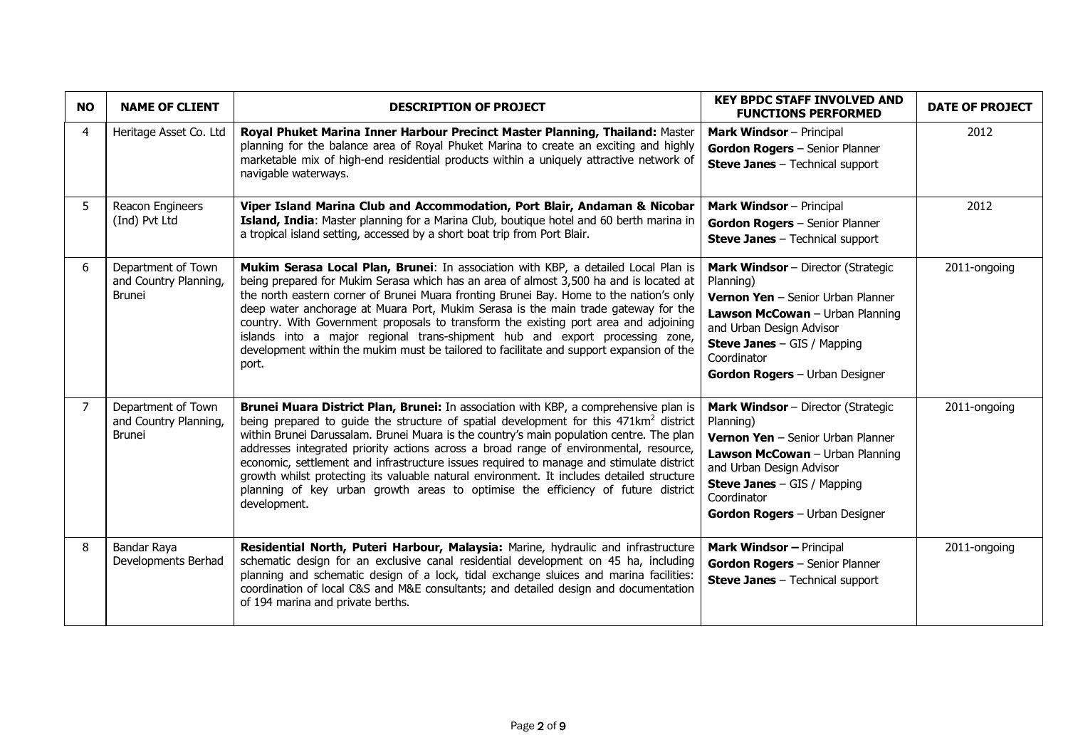| <b>NO</b>      | <b>NAME OF CLIENT</b>                                        | <b>DESCRIPTION OF PROJECT</b>                                                                                                                                                                                                                                                                                                                                                                                                                                                                                                                                                                                                                                                | <b>KEY BPDC STAFF INVOLVED AND</b><br><b>FUNCTIONS PERFORMED</b>                                                                                                                                                                                           | <b>DATE OF PROJECT</b> |
|----------------|--------------------------------------------------------------|------------------------------------------------------------------------------------------------------------------------------------------------------------------------------------------------------------------------------------------------------------------------------------------------------------------------------------------------------------------------------------------------------------------------------------------------------------------------------------------------------------------------------------------------------------------------------------------------------------------------------------------------------------------------------|------------------------------------------------------------------------------------------------------------------------------------------------------------------------------------------------------------------------------------------------------------|------------------------|
| 4              | Heritage Asset Co. Ltd                                       | Royal Phuket Marina Inner Harbour Precinct Master Planning, Thailand: Master<br>planning for the balance area of Royal Phuket Marina to create an exciting and highly<br>marketable mix of high-end residential products within a uniquely attractive network of<br>navigable waterways.                                                                                                                                                                                                                                                                                                                                                                                     | <b>Mark Windsor</b> - Principal<br>Gordon Rogers - Senior Planner<br><b>Steve Janes</b> - Technical support                                                                                                                                                | 2012                   |
| 5              | Reacon Engineers<br>(Ind) Pvt Ltd                            | Viper Island Marina Club and Accommodation, Port Blair, Andaman & Nicobar<br>Island, India: Master planning for a Marina Club, boutique hotel and 60 berth marina in<br>a tropical island setting, accessed by a short boat trip from Port Blair.                                                                                                                                                                                                                                                                                                                                                                                                                            | <b>Mark Windsor</b> - Principal<br>Gordon Rogers - Senior Planner<br><b>Steve Janes</b> - Technical support                                                                                                                                                | 2012                   |
| 6              | Department of Town<br>and Country Planning,<br><b>Brunei</b> | Mukim Serasa Local Plan, Brunei: In association with KBP, a detailed Local Plan is<br>being prepared for Mukim Serasa which has an area of almost 3,500 ha and is located at<br>the north eastern corner of Brunei Muara fronting Brunei Bay. Home to the nation's only<br>deep water anchorage at Muara Port, Mukim Serasa is the main trade gateway for the<br>country. With Government proposals to transform the existing port area and adjoining<br>islands into a major regional trans-shipment hub and export processing zone,<br>development within the mukim must be tailored to facilitate and support expansion of the<br>port.                                   | <b>Mark Windsor</b> - Director (Strategic<br>Planning)<br><b>Vernon Yen</b> - Senior Urban Planner<br>Lawson McCowan - Urban Planning<br>and Urban Design Advisor<br><b>Steve Janes</b> $-$ GIS / Mapping<br>Coordinator<br>Gordon Rogers - Urban Designer | 2011-ongoing           |
| $\overline{7}$ | Department of Town<br>and Country Planning,<br><b>Brunei</b> | Brunei Muara District Plan, Brunei: In association with KBP, a comprehensive plan is<br>being prepared to guide the structure of spatial development for this 471km <sup>2</sup> district<br>within Brunei Darussalam. Brunei Muara is the country's main population centre. The plan<br>addresses integrated priority actions across a broad range of environmental, resource,<br>economic, settlement and infrastructure issues required to manage and stimulate district<br>growth whilst protecting its valuable natural environment. It includes detailed structure<br>planning of key urban growth areas to optimise the efficiency of future district<br>development. | Mark Windsor - Director (Strategic<br>Planning)<br>Vernon Yen - Senior Urban Planner<br>Lawson McCowan - Urban Planning<br>and Urban Design Advisor<br><b>Steve Janes</b> - GIS / Mapping<br>Coordinator<br>Gordon Rogers - Urban Designer                 | 2011-ongoing           |
| 8              | Bandar Raya<br>Developments Berhad                           | Residential North, Puteri Harbour, Malaysia: Marine, hydraulic and infrastructure<br>schematic design for an exclusive canal residential development on 45 ha, including<br>planning and schematic design of a lock, tidal exchange sluices and marina facilities:<br>coordination of local C&S and M&E consultants; and detailed design and documentation<br>of 194 marina and private berths.                                                                                                                                                                                                                                                                              | <b>Mark Windsor - Principal</b><br>Gordon Rogers - Senior Planner<br><b>Steve Janes</b> - Technical support                                                                                                                                                | 2011-ongoing           |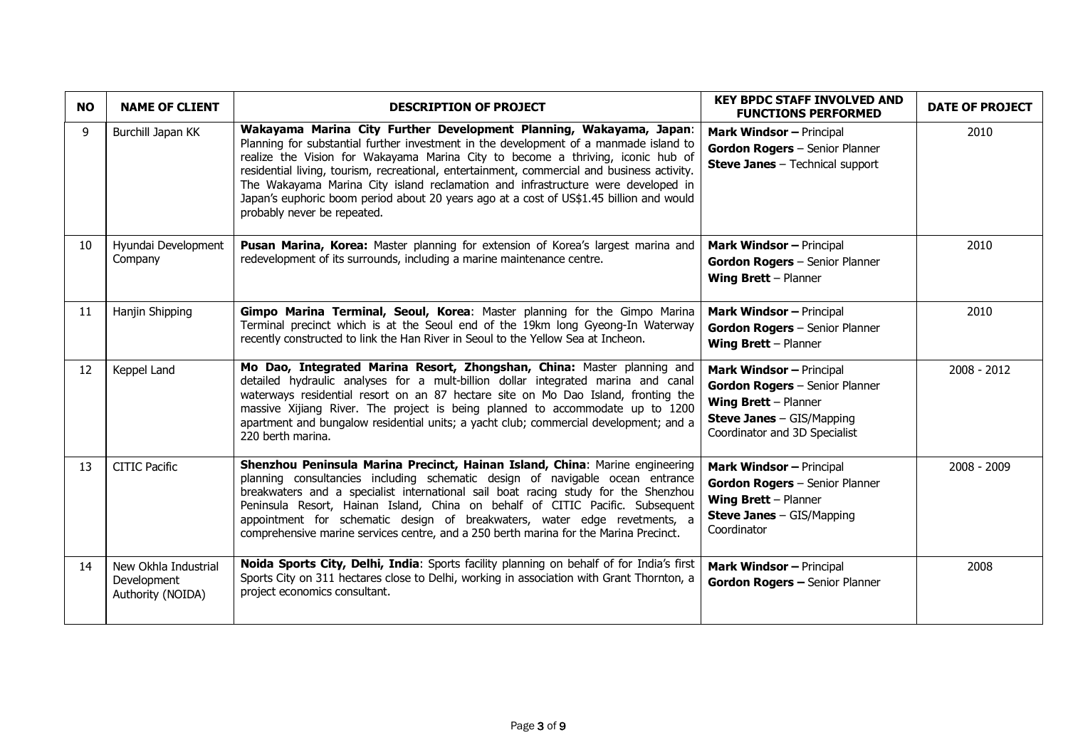| <b>NO</b>    | <b>NAME OF CLIENT</b>                                    | <b>DESCRIPTION OF PROJECT</b>                                                                                                                                                                                                                                                                                                                                                                                                                                                                                                                                | <b>KEY BPDC STAFF INVOLVED AND</b><br><b>FUNCTIONS PERFORMED</b>                                                                                               | <b>DATE OF PROJECT</b> |
|--------------|----------------------------------------------------------|--------------------------------------------------------------------------------------------------------------------------------------------------------------------------------------------------------------------------------------------------------------------------------------------------------------------------------------------------------------------------------------------------------------------------------------------------------------------------------------------------------------------------------------------------------------|----------------------------------------------------------------------------------------------------------------------------------------------------------------|------------------------|
| $\mathsf{q}$ | Burchill Japan KK                                        | Wakayama Marina City Further Development Planning, Wakayama, Japan:<br>Planning for substantial further investment in the development of a manmade island to<br>realize the Vision for Wakayama Marina City to become a thriving, iconic hub of<br>residential living, tourism, recreational, entertainment, commercial and business activity.<br>The Wakayama Marina City island reclamation and infrastructure were developed in<br>Japan's euphoric boom period about 20 years ago at a cost of US\$1.45 billion and would<br>probably never be repeated. | <b>Mark Windsor - Principal</b><br>Gordon Rogers - Senior Planner<br><b>Steve Janes</b> - Technical support                                                    | 2010                   |
| 10           | Hyundai Development<br>Company                           | Pusan Marina, Korea: Master planning for extension of Korea's largest marina and<br>redevelopment of its surrounds, including a marine maintenance centre.                                                                                                                                                                                                                                                                                                                                                                                                   | Mark Windsor - Principal<br>Gordon Rogers - Senior Planner<br>Wing Brett - Planner                                                                             | 2010                   |
| 11           | Hanjin Shipping                                          | Gimpo Marina Terminal, Seoul, Korea: Master planning for the Gimpo Marina<br>Terminal precinct which is at the Seoul end of the 19km long Gyeong-In Waterway<br>recently constructed to link the Han River in Seoul to the Yellow Sea at Incheon.                                                                                                                                                                                                                                                                                                            | <b>Mark Windsor - Principal</b><br>Gordon Rogers - Senior Planner<br>Wing Brett - Planner                                                                      | 2010                   |
| 12           | Keppel Land                                              | Mo Dao, Integrated Marina Resort, Zhongshan, China: Master planning and<br>detailed hydraulic analyses for a mult-billion dollar integrated marina and canal<br>waterways residential resort on an 87 hectare site on Mo Dao Island, fronting the<br>massive Xijiang River. The project is being planned to accommodate up to 1200<br>apartment and bungalow residential units; a yacht club; commercial development; and a<br>220 berth marina.                                                                                                             | <b>Mark Windsor - Principal</b><br>Gordon Rogers - Senior Planner<br>Wing Brett - Planner<br><b>Steve Janes - GIS/Mapping</b><br>Coordinator and 3D Specialist | $2008 - 2012$          |
| 13           | <b>CITIC Pacific</b>                                     | Shenzhou Peninsula Marina Precinct, Hainan Island, China: Marine engineering<br>planning consultancies including schematic design of navigable ocean entrance<br>breakwaters and a specialist international sail boat racing study for the Shenzhou<br>Peninsula Resort, Hainan Island, China on behalf of CITIC Pacific. Subsequent<br>appointment for schematic design of breakwaters, water edge revetments, a<br>comprehensive marine services centre, and a 250 berth marina for the Marina Precinct.                                                   | <b>Mark Windsor - Principal</b><br>Gordon Rogers - Senior Planner<br>Wing Brett - Planner<br><b>Steve Janes - GIS/Mapping</b><br>Coordinator                   | $2008 - 2009$          |
| 14           | New Okhla Industrial<br>Development<br>Authority (NOIDA) | Noida Sports City, Delhi, India: Sports facility planning on behalf of for India's first<br>Sports City on 311 hectares close to Delhi, working in association with Grant Thornton, a<br>project economics consultant.                                                                                                                                                                                                                                                                                                                                       | <b>Mark Windsor - Principal</b><br>Gordon Rogers - Senior Planner                                                                                              | 2008                   |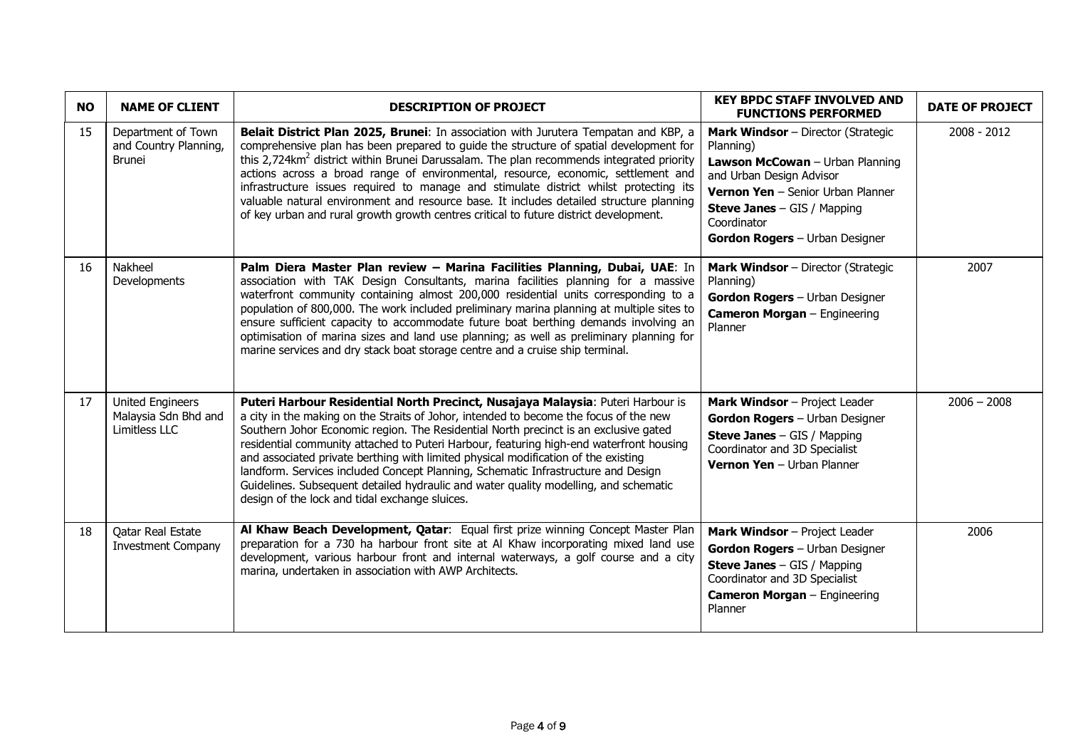| <b>NO</b> | <b>NAME OF CLIENT</b>                                            | <b>DESCRIPTION OF PROJECT</b>                                                                                                                                                                                                                                                                                                                                                                                                                                                                                                                                                                                                                                                    | <b>KEY BPDC STAFF INVOLVED AND</b><br><b>FUNCTIONS PERFORMED</b>                                                                                                                                                                                  | <b>DATE OF PROJECT</b> |
|-----------|------------------------------------------------------------------|----------------------------------------------------------------------------------------------------------------------------------------------------------------------------------------------------------------------------------------------------------------------------------------------------------------------------------------------------------------------------------------------------------------------------------------------------------------------------------------------------------------------------------------------------------------------------------------------------------------------------------------------------------------------------------|---------------------------------------------------------------------------------------------------------------------------------------------------------------------------------------------------------------------------------------------------|------------------------|
| 15        | Department of Town<br>and Country Planning,<br><b>Brunei</b>     | Belait District Plan 2025, Brunei: In association with Jurutera Tempatan and KBP, a<br>comprehensive plan has been prepared to guide the structure of spatial development for<br>this 2,724km <sup>2</sup> district within Brunei Darussalam. The plan recommends integrated priority<br>actions across a broad range of environmental, resource, economic, settlement and<br>infrastructure issues required to manage and stimulate district whilst protecting its<br>valuable natural environment and resource base. It includes detailed structure planning<br>of key urban and rural growth growth centres critical to future district development.                          | <b>Mark Windsor</b> - Director (Strategic<br>Planning)<br>Lawson McCowan - Urban Planning<br>and Urban Design Advisor<br>Vernon Yen - Senior Urban Planner<br><b>Steve Janes</b> - GIS / Mapping<br>Coordinator<br>Gordon Rogers - Urban Designer | $2008 - 2012$          |
| 16        | Nakheel<br>Developments                                          | Palm Diera Master Plan review - Marina Facilities Planning, Dubai, UAE: In<br>association with TAK Design Consultants, marina facilities planning for a massive<br>waterfront community containing almost 200,000 residential units corresponding to a<br>population of 800,000. The work included preliminary marina planning at multiple sites to<br>ensure sufficient capacity to accommodate future boat berthing demands involving an<br>optimisation of marina sizes and land use planning; as well as preliminary planning for<br>marine services and dry stack boat storage centre and a cruise ship terminal.                                                           | <b>Mark Windsor</b> - Director (Strategic<br>Planning)<br>Gordon Rogers - Urban Designer<br><b>Cameron Morgan</b> - Engineering<br>Planner                                                                                                        | 2007                   |
| 17        | <b>United Engineers</b><br>Malaysia Sdn Bhd and<br>Limitless LLC | Puteri Harbour Residential North Precinct, Nusajaya Malaysia: Puteri Harbour is<br>a city in the making on the Straits of Johor, intended to become the focus of the new<br>Southern Johor Economic region. The Residential North precinct is an exclusive gated<br>residential community attached to Puteri Harbour, featuring high-end waterfront housing<br>and associated private berthing with limited physical modification of the existing<br>landform. Services included Concept Planning, Schematic Infrastructure and Design<br>Guidelines. Subsequent detailed hydraulic and water quality modelling, and schematic<br>design of the lock and tidal exchange sluices. | Mark Windsor - Project Leader<br>Gordon Rogers - Urban Designer<br><b>Steve Janes</b> $-$ GIS / Mapping<br>Coordinator and 3D Specialist<br>Vernon Yen - Urban Planner                                                                            | $2006 - 2008$          |
| 18        | Qatar Real Estate<br><b>Investment Company</b>                   | Al Khaw Beach Development, Qatar: Equal first prize winning Concept Master Plan<br>preparation for a 730 ha harbour front site at Al Khaw incorporating mixed land use<br>development, various harbour front and internal waterways, a golf course and a city<br>marina, undertaken in association with AWP Architects.                                                                                                                                                                                                                                                                                                                                                          | Mark Windsor - Project Leader<br>Gordon Rogers - Urban Designer<br><b>Steve Janes</b> $-$ GIS / Mapping<br>Coordinator and 3D Specialist<br><b>Cameron Morgan</b> - Engineering<br>Planner                                                        | 2006                   |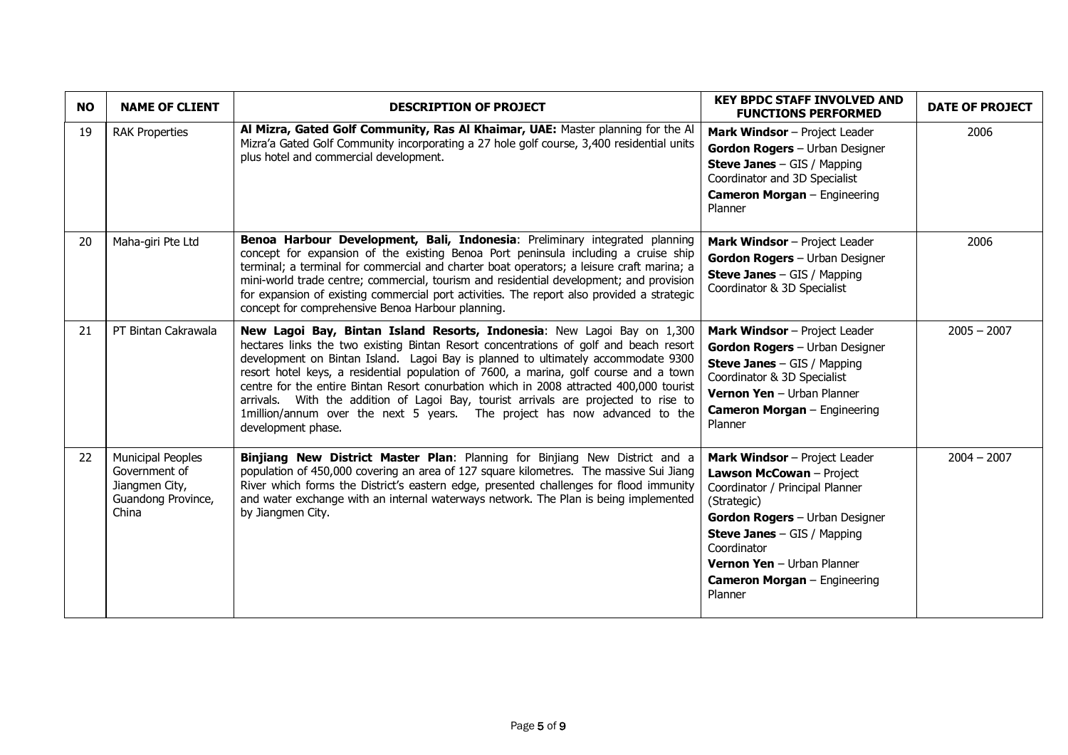| <b>NO</b> | <b>NAME OF CLIENT</b>                                                                      | <b>DESCRIPTION OF PROJECT</b>                                                                                                                                                                                                                                                                                                                                                                                                                                                                                                                                                                                                       | <b>KEY BPDC STAFF INVOLVED AND</b><br><b>FUNCTIONS PERFORMED</b>                                                                                                                                                                                                                   | <b>DATE OF PROJECT</b> |
|-----------|--------------------------------------------------------------------------------------------|-------------------------------------------------------------------------------------------------------------------------------------------------------------------------------------------------------------------------------------------------------------------------------------------------------------------------------------------------------------------------------------------------------------------------------------------------------------------------------------------------------------------------------------------------------------------------------------------------------------------------------------|------------------------------------------------------------------------------------------------------------------------------------------------------------------------------------------------------------------------------------------------------------------------------------|------------------------|
| 19        | <b>RAK Properties</b>                                                                      | Al Mizra, Gated Golf Community, Ras Al Khaimar, UAE: Master planning for the Al<br>Mizra'a Gated Golf Community incorporating a 27 hole golf course, 3,400 residential units<br>plus hotel and commercial development.                                                                                                                                                                                                                                                                                                                                                                                                              | Mark Windsor - Project Leader<br>Gordon Rogers - Urban Designer<br><b>Steve Janes</b> $-$ GIS / Mapping<br>Coordinator and 3D Specialist<br><b>Cameron Morgan</b> - Engineering<br>Planner                                                                                         | 2006                   |
| 20        | Maha-giri Pte Ltd                                                                          | Benoa Harbour Development, Bali, Indonesia: Preliminary integrated planning<br>concept for expansion of the existing Benoa Port peninsula including a cruise ship<br>terminal; a terminal for commercial and charter boat operators; a leisure craft marina; a<br>mini-world trade centre; commercial, tourism and residential development; and provision<br>for expansion of existing commercial port activities. The report also provided a strategic<br>concept for comprehensive Benoa Harbour planning.                                                                                                                        | Mark Windsor - Project Leader<br>Gordon Rogers - Urban Designer<br><b>Steve Janes</b> - GIS / Mapping<br>Coordinator & 3D Specialist                                                                                                                                               | 2006                   |
| 21        | PT Bintan Cakrawala                                                                        | New Lagoi Bay, Bintan Island Resorts, Indonesia: New Lagoi Bay on 1,300<br>hectares links the two existing Bintan Resort concentrations of golf and beach resort<br>development on Bintan Island. Lagoi Bay is planned to ultimately accommodate 9300<br>resort hotel keys, a residential population of 7600, a marina, golf course and a town<br>centre for the entire Bintan Resort conurbation which in 2008 attracted 400,000 tourist<br>arrivals. With the addition of Lagoi Bay, tourist arrivals are projected to rise to<br>1million/annum over the next 5 years. The project has now advanced to the<br>development phase. | Mark Windsor - Project Leader<br>Gordon Rogers - Urban Designer<br><b>Steve Janes</b> $-$ GIS / Mapping<br>Coordinator & 3D Specialist<br>Vernon Yen - Urban Planner<br><b>Cameron Morgan</b> - Engineering<br>Planner                                                             | $2005 - 2007$          |
| 22        | <b>Municipal Peoples</b><br>Government of<br>Jiangmen City,<br>Guandong Province,<br>China | Binjiang New District Master Plan: Planning for Binjiang New District and a<br>population of 450,000 covering an area of 127 square kilometres. The massive Sui Jiang<br>River which forms the District's eastern edge, presented challenges for flood immunity<br>and water exchange with an internal waterways network. The Plan is being implemented<br>by Jiangmen City.                                                                                                                                                                                                                                                        | Mark Windsor - Project Leader<br>Lawson McCowan - Project<br>Coordinator / Principal Planner<br>(Strategic)<br>Gordon Rogers - Urban Designer<br><b>Steve Janes</b> - GIS / Mapping<br>Coordinator<br>Vernon Yen - Urban Planner<br><b>Cameron Morgan</b> - Engineering<br>Planner | $2004 - 2007$          |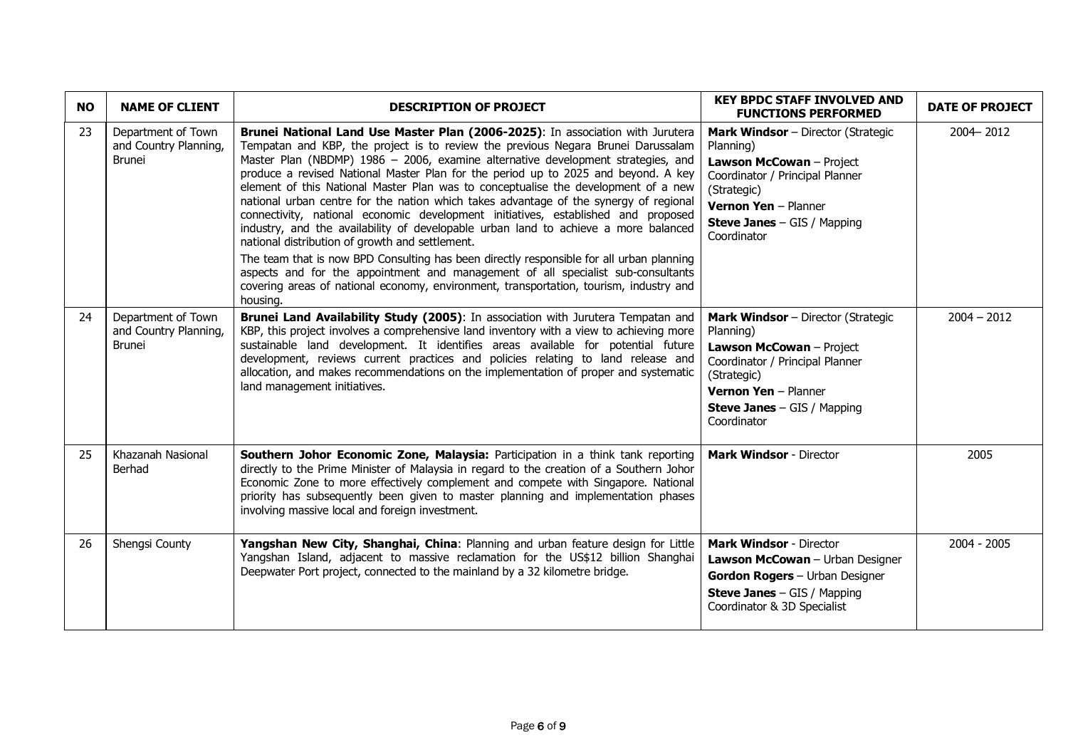| <b>NO</b> | <b>NAME OF CLIENT</b>                                        | <b>DESCRIPTION OF PROJECT</b>                                                                                                                                                                                                                                                                                                                                                                                                                                                                                                                                                                                                                                                                                                                                                                                                                                                                                                                                                                                                                    | <b>KEY BPDC STAFF INVOLVED AND</b><br><b>FUNCTIONS PERFORMED</b>                                                                                                                                                    | <b>DATE OF PROJECT</b> |
|-----------|--------------------------------------------------------------|--------------------------------------------------------------------------------------------------------------------------------------------------------------------------------------------------------------------------------------------------------------------------------------------------------------------------------------------------------------------------------------------------------------------------------------------------------------------------------------------------------------------------------------------------------------------------------------------------------------------------------------------------------------------------------------------------------------------------------------------------------------------------------------------------------------------------------------------------------------------------------------------------------------------------------------------------------------------------------------------------------------------------------------------------|---------------------------------------------------------------------------------------------------------------------------------------------------------------------------------------------------------------------|------------------------|
| 23        | Department of Town<br>and Country Planning,<br><b>Brunei</b> | Brunei National Land Use Master Plan (2006-2025): In association with Jurutera<br>Tempatan and KBP, the project is to review the previous Negara Brunei Darussalam<br>Master Plan (NBDMP) 1986 - 2006, examine alternative development strategies, and<br>produce a revised National Master Plan for the period up to 2025 and beyond. A key<br>element of this National Master Plan was to conceptualise the development of a new<br>national urban centre for the nation which takes advantage of the synergy of regional<br>connectivity, national economic development initiatives, established and proposed<br>industry, and the availability of developable urban land to achieve a more balanced<br>national distribution of growth and settlement.<br>The team that is now BPD Consulting has been directly responsible for all urban planning<br>aspects and for the appointment and management of all specialist sub-consultants<br>covering areas of national economy, environment, transportation, tourism, industry and<br>housing. | <b>Mark Windsor</b> - Director (Strategic<br>Planning)<br>Lawson McCowan - Project<br>Coordinator / Principal Planner<br>(Strategic)<br>Vernon Yen - Planner<br><b>Steve Janes</b> - GIS / Mapping<br>Coordinator   | 2004 - 2012            |
| 24        | Department of Town<br>and Country Planning,<br><b>Brunei</b> | Brunei Land Availability Study (2005): In association with Jurutera Tempatan and<br>KBP, this project involves a comprehensive land inventory with a view to achieving more<br>sustainable land development. It identifies areas available for potential future<br>development, reviews current practices and policies relating to land release and<br>allocation, and makes recommendations on the implementation of proper and systematic<br>land management initiatives.                                                                                                                                                                                                                                                                                                                                                                                                                                                                                                                                                                      | <b>Mark Windsor</b> - Director (Strategic<br>Planning)<br>Lawson McCowan - Project<br>Coordinator / Principal Planner<br>(Strategic)<br>Vernon Yen - Planner<br><b>Steve Janes</b> $-$ GIS / Mapping<br>Coordinator | $2004 - 2012$          |
| 25        | Khazanah Nasional<br>Berhad                                  | Southern Johor Economic Zone, Malaysia: Participation in a think tank reporting<br>directly to the Prime Minister of Malaysia in regard to the creation of a Southern Johor<br>Economic Zone to more effectively complement and compete with Singapore. National<br>priority has subsequently been given to master planning and implementation phases<br>involving massive local and foreign investment.                                                                                                                                                                                                                                                                                                                                                                                                                                                                                                                                                                                                                                         | <b>Mark Windsor - Director</b>                                                                                                                                                                                      | 2005                   |
| 26        | Shengsi County                                               | Yangshan New City, Shanghai, China: Planning and urban feature design for Little<br>Yangshan Island, adjacent to massive reclamation for the US\$12 billion Shanghai<br>Deepwater Port project, connected to the mainland by a 32 kilometre bridge.                                                                                                                                                                                                                                                                                                                                                                                                                                                                                                                                                                                                                                                                                                                                                                                              | <b>Mark Windsor - Director</b><br><b>Lawson McCowan</b> - Urban Designer<br>Gordon Rogers - Urban Designer<br><b>Steve Janes</b> - GIS / Mapping<br>Coordinator & 3D Specialist                                     | 2004 - 2005            |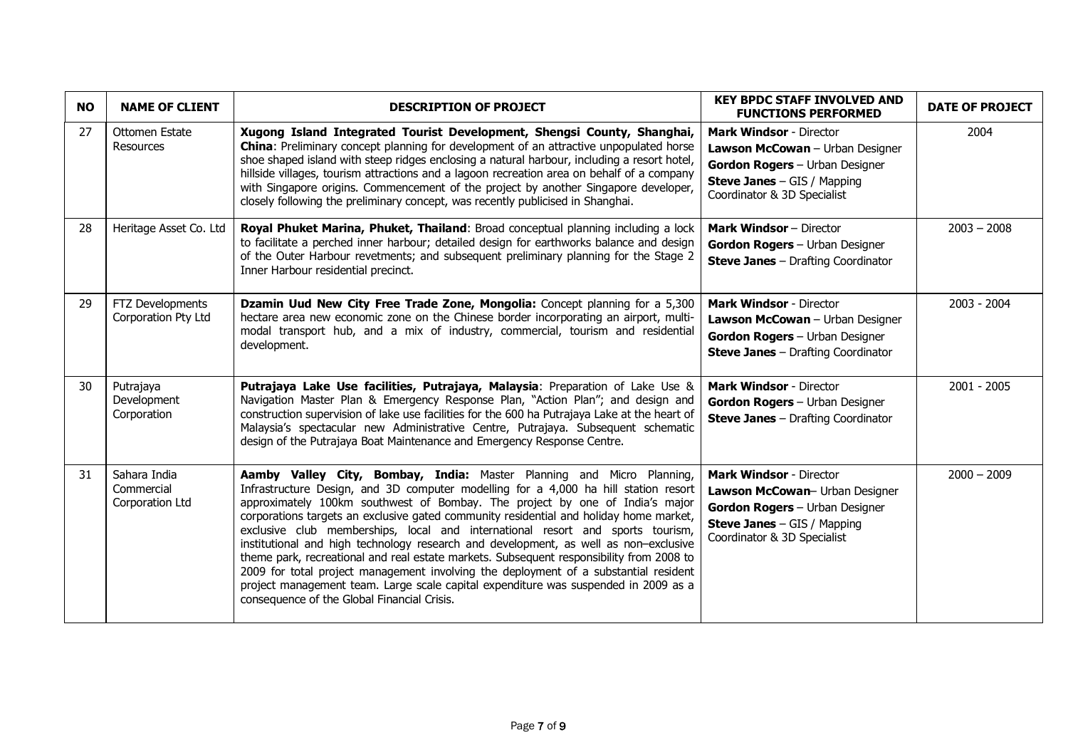| <b>NO</b> | <b>NAME OF CLIENT</b>                         | <b>DESCRIPTION OF PROJECT</b>                                                                                                                                                                                                                                                                                                                                                                                                                                                                                                                                                                                                                                                                                                                                                                                                              | <b>KEY BPDC STAFF INVOLVED AND</b><br><b>FUNCTIONS PERFORMED</b>                                                                                                          | <b>DATE OF PROJECT</b> |
|-----------|-----------------------------------------------|--------------------------------------------------------------------------------------------------------------------------------------------------------------------------------------------------------------------------------------------------------------------------------------------------------------------------------------------------------------------------------------------------------------------------------------------------------------------------------------------------------------------------------------------------------------------------------------------------------------------------------------------------------------------------------------------------------------------------------------------------------------------------------------------------------------------------------------------|---------------------------------------------------------------------------------------------------------------------------------------------------------------------------|------------------------|
| 27        | Ottomen Estate<br><b>Resources</b>            | Xugong Island Integrated Tourist Development, Shengsi County, Shanghai,<br><b>China:</b> Preliminary concept planning for development of an attractive unpopulated horse<br>shoe shaped island with steep ridges enclosing a natural harbour, including a resort hotel,<br>hillside villages, tourism attractions and a lagoon recreation area on behalf of a company<br>with Singapore origins. Commencement of the project by another Singapore developer,<br>closely following the preliminary concept, was recently publicised in Shanghai.                                                                                                                                                                                                                                                                                            | <b>Mark Windsor - Director</b><br>Lawson McCowan - Urban Designer<br>Gordon Rogers - Urban Designer<br><b>Steve Janes</b> - GIS / Mapping<br>Coordinator & 3D Specialist  | 2004                   |
| 28        | Heritage Asset Co. Ltd                        | Royal Phuket Marina, Phuket, Thailand: Broad conceptual planning including a lock<br>to facilitate a perched inner harbour; detailed design for earthworks balance and design<br>of the Outer Harbour revetments; and subsequent preliminary planning for the Stage 2<br>Inner Harbour residential precinct.                                                                                                                                                                                                                                                                                                                                                                                                                                                                                                                               | <b>Mark Windsor - Director</b><br>Gordon Rogers - Urban Designer<br><b>Steve Janes</b> - Drafting Coordinator                                                             | $2003 - 2008$          |
| 29        | FTZ Developments<br>Corporation Pty Ltd       | Dzamin Uud New City Free Trade Zone, Mongolia: Concept planning for a 5,300<br>hectare area new economic zone on the Chinese border incorporating an airport, multi-<br>modal transport hub, and a mix of industry, commercial, tourism and residential<br>development.                                                                                                                                                                                                                                                                                                                                                                                                                                                                                                                                                                    | <b>Mark Windsor - Director</b><br>Lawson McCowan - Urban Designer<br>Gordon Rogers - Urban Designer<br><b>Steve Janes</b> - Drafting Coordinator                          | $2003 - 2004$          |
| 30        | Putrajaya<br>Development<br>Corporation       | Putrajaya Lake Use facilities, Putrajaya, Malaysia: Preparation of Lake Use &<br>Navigation Master Plan & Emergency Response Plan, "Action Plan"; and design and<br>construction supervision of lake use facilities for the 600 ha Putrajaya Lake at the heart of<br>Malaysia's spectacular new Administrative Centre, Putrajaya. Subsequent schematic<br>design of the Putrajaya Boat Maintenance and Emergency Response Centre.                                                                                                                                                                                                                                                                                                                                                                                                          | <b>Mark Windsor - Director</b><br>Gordon Rogers - Urban Designer<br><b>Steve Janes</b> - Drafting Coordinator                                                             | $2001 - 2005$          |
| 31        | Sahara India<br>Commercial<br>Corporation Ltd | Aamby Valley City, Bombay, India: Master Planning and Micro Planning,<br>Infrastructure Design, and 3D computer modelling for a 4,000 ha hill station resort<br>approximately 100km southwest of Bombay. The project by one of India's major<br>corporations targets an exclusive gated community residential and holiday home market,<br>exclusive club memberships, local and international resort and sports tourism,<br>institutional and high technology research and development, as well as non-exclusive<br>theme park, recreational and real estate markets. Subsequent responsibility from 2008 to<br>2009 for total project management involving the deployment of a substantial resident<br>project management team. Large scale capital expenditure was suspended in 2009 as a<br>consequence of the Global Financial Crisis. | <b>Mark Windsor - Director</b><br>Lawson McCowan- Urban Designer<br>Gordon Rogers - Urban Designer<br><b>Steve Janes</b> $-$ GIS / Mapping<br>Coordinator & 3D Specialist | $2000 - 2009$          |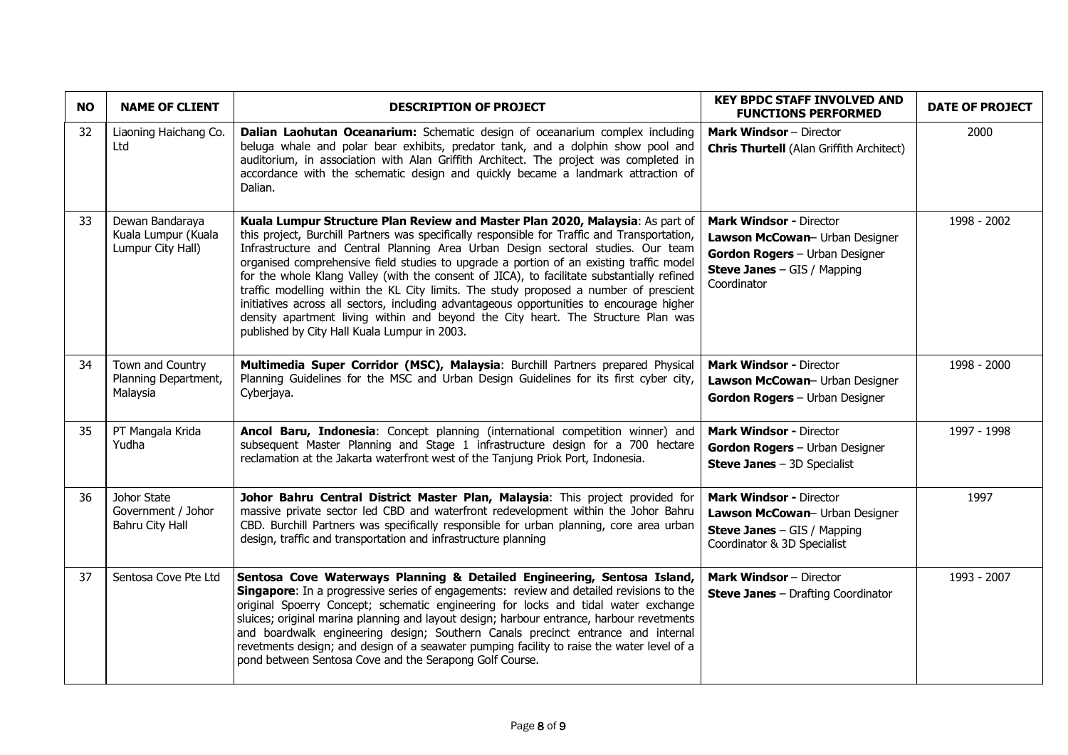| <b>NO</b> | <b>NAME OF CLIENT</b>                                       | <b>DESCRIPTION OF PROJECT</b>                                                                                                                                                                                                                                                                                                                                                                                                                                                                                                                                                                                                                                                                                                                                                        | <b>KEY BPDC STAFF INVOLVED AND</b><br><b>FUNCTIONS PERFORMED</b>                                                                                        | <b>DATE OF PROJECT</b> |
|-----------|-------------------------------------------------------------|--------------------------------------------------------------------------------------------------------------------------------------------------------------------------------------------------------------------------------------------------------------------------------------------------------------------------------------------------------------------------------------------------------------------------------------------------------------------------------------------------------------------------------------------------------------------------------------------------------------------------------------------------------------------------------------------------------------------------------------------------------------------------------------|---------------------------------------------------------------------------------------------------------------------------------------------------------|------------------------|
| 32        | Liaoning Haichang Co.<br>Ltd                                | Dalian Laohutan Oceanarium: Schematic design of oceanarium complex including<br>beluga whale and polar bear exhibits, predator tank, and a dolphin show pool and<br>auditorium, in association with Alan Griffith Architect. The project was completed in<br>accordance with the schematic design and quickly became a landmark attraction of<br>Dalian.                                                                                                                                                                                                                                                                                                                                                                                                                             | <b>Mark Windsor</b> - Director<br><b>Chris Thurtell</b> (Alan Griffith Architect)                                                                       | 2000                   |
| 33        | Dewan Bandaraya<br>Kuala Lumpur (Kuala<br>Lumpur City Hall) | Kuala Lumpur Structure Plan Review and Master Plan 2020, Malaysia: As part of<br>this project, Burchill Partners was specifically responsible for Traffic and Transportation,<br>Infrastructure and Central Planning Area Urban Design sectoral studies. Our team<br>organised comprehensive field studies to upgrade a portion of an existing traffic model<br>for the whole Klang Valley (with the consent of JICA), to facilitate substantially refined<br>traffic modelling within the KL City limits. The study proposed a number of prescient<br>initiatives across all sectors, including advantageous opportunities to encourage higher<br>density apartment living within and beyond the City heart. The Structure Plan was<br>published by City Hall Kuala Lumpur in 2003. | <b>Mark Windsor - Director</b><br>Lawson McCowan- Urban Designer<br>Gordon Rogers - Urban Designer<br><b>Steve Janes</b> - GIS / Mapping<br>Coordinator | 1998 - 2002            |
| 34        | Town and Country<br>Planning Department,<br>Malaysia        | Multimedia Super Corridor (MSC), Malaysia: Burchill Partners prepared Physical<br>Planning Guidelines for the MSC and Urban Design Guidelines for its first cyber city,<br>Cyberjaya.                                                                                                                                                                                                                                                                                                                                                                                                                                                                                                                                                                                                | <b>Mark Windsor - Director</b><br>Lawson McCowan- Urban Designer<br>Gordon Rogers - Urban Designer                                                      | 1998 - 2000            |
| 35        | PT Mangala Krida<br>Yudha                                   | Ancol Baru, Indonesia: Concept planning (international competition winner) and<br>subsequent Master Planning and Stage 1 infrastructure design for a 700 hectare<br>reclamation at the Jakarta waterfront west of the Tanjung Priok Port, Indonesia.                                                                                                                                                                                                                                                                                                                                                                                                                                                                                                                                 | <b>Mark Windsor - Director</b><br>Gordon Rogers - Urban Designer<br><b>Steve Janes</b> $-$ 3D Specialist                                                | 1997 - 1998            |
| 36        | Johor State<br>Government / Johor<br>Bahru City Hall        | Johor Bahru Central District Master Plan, Malaysia: This project provided for<br>massive private sector led CBD and waterfront redevelopment within the Johor Bahru<br>CBD. Burchill Partners was specifically responsible for urban planning, core area urban<br>design, traffic and transportation and infrastructure planning                                                                                                                                                                                                                                                                                                                                                                                                                                                     | <b>Mark Windsor - Director</b><br>Lawson McCowan- Urban Designer<br><b>Steve Janes</b> $-$ GIS / Mapping<br>Coordinator & 3D Specialist                 | 1997                   |
| 37        | Sentosa Cove Pte Ltd                                        | Sentosa Cove Waterways Planning & Detailed Engineering, Sentosa Island,<br><b>Singapore:</b> In a progressive series of engagements: review and detailed revisions to the<br>original Spoerry Concept; schematic engineering for locks and tidal water exchange<br>sluices; original marina planning and layout design; harbour entrance, harbour revetments<br>and boardwalk engineering design; Southern Canals precinct entrance and internal<br>revetments design; and design of a seawater pumping facility to raise the water level of a<br>pond between Sentosa Cove and the Serapong Golf Course.                                                                                                                                                                            | <b>Mark Windsor</b> - Director<br><b>Steve Janes</b> - Drafting Coordinator                                                                             | 1993 - 2007            |